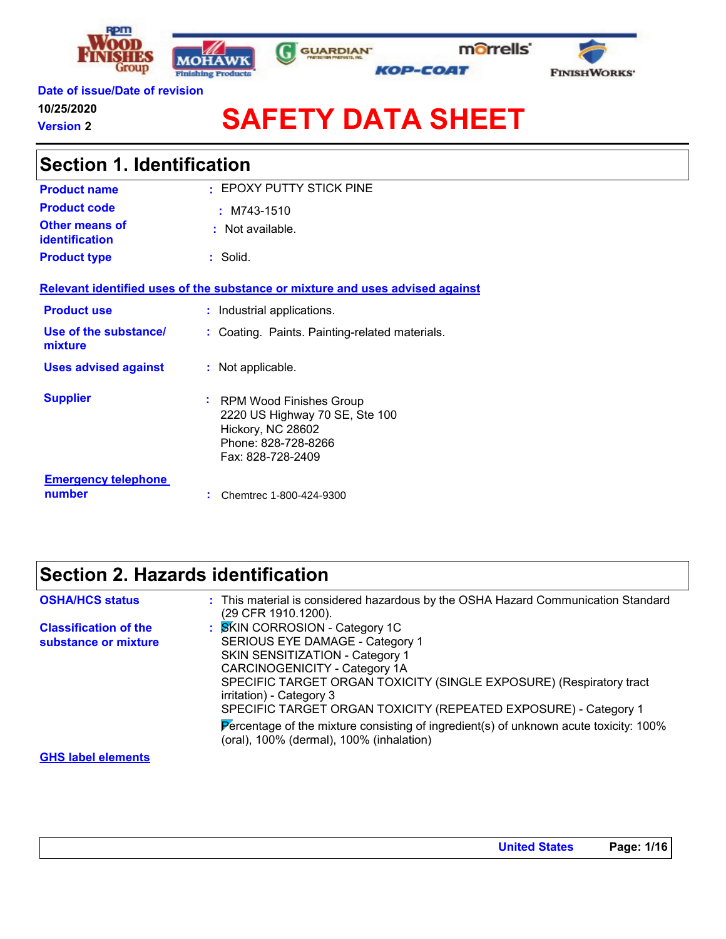







### **Date of issue/Date of revision 10/25/2020**

**Version 2**

# **SAFETY DATA SHEET**

| <b>Section 1. Identification</b>        |                                                                                                                                        |  |
|-----------------------------------------|----------------------------------------------------------------------------------------------------------------------------------------|--|
| <b>Product name</b>                     | : EPOXY PUTTY STICK PINE                                                                                                               |  |
| <b>Product code</b>                     | $:M743-1510$                                                                                                                           |  |
| Other means of<br><b>identification</b> | : Not available.                                                                                                                       |  |
| <b>Product type</b>                     | : Solid.                                                                                                                               |  |
|                                         | Relevant identified uses of the substance or mixture and uses advised against                                                          |  |
| <b>Product use</b>                      | : Industrial applications.                                                                                                             |  |
| Use of the substance/<br>mixture        | : Coating. Paints. Painting-related materials.                                                                                         |  |
| <b>Uses advised against</b>             | : Not applicable.                                                                                                                      |  |
| <b>Supplier</b>                         | <b>RPM Wood Finishes Group</b><br>٠<br>2220 US Highway 70 SE, Ste 100<br>Hickory, NC 28602<br>Phone: 828-728-8266<br>Fax: 828-728-2409 |  |
| <b>Emergency telephone</b><br>number    | Chemtrec 1-800-424-9300                                                                                                                |  |

# **Section 2. Hazards identification**

| <b>OSHA/HCS status</b>                               | : This material is considered hazardous by the OSHA Hazard Communication Standard<br>(29 CFR 1910.1200).                                                                                                                                                                                                                                                                                                                                                            |
|------------------------------------------------------|---------------------------------------------------------------------------------------------------------------------------------------------------------------------------------------------------------------------------------------------------------------------------------------------------------------------------------------------------------------------------------------------------------------------------------------------------------------------|
| <b>Classification of the</b><br>substance or mixture | <b>SKIN CORROSION - Category 1C</b><br><b>SERIOUS EYE DAMAGE - Category 1</b><br><b>SKIN SENSITIZATION - Category 1</b><br>CARCINOGENICITY - Category 1A<br>SPECIFIC TARGET ORGAN TOXICITY (SINGLE EXPOSURE) (Respiratory tract<br>irritation) - Category 3<br>SPECIFIC TARGET ORGAN TOXICITY (REPEATED EXPOSURE) - Category 1<br>Percentage of the mixture consisting of ingredient(s) of unknown acute toxicity: 100%<br>(oral), 100% (dermal), 100% (inhalation) |
| <b>GHS label elements</b>                            |                                                                                                                                                                                                                                                                                                                                                                                                                                                                     |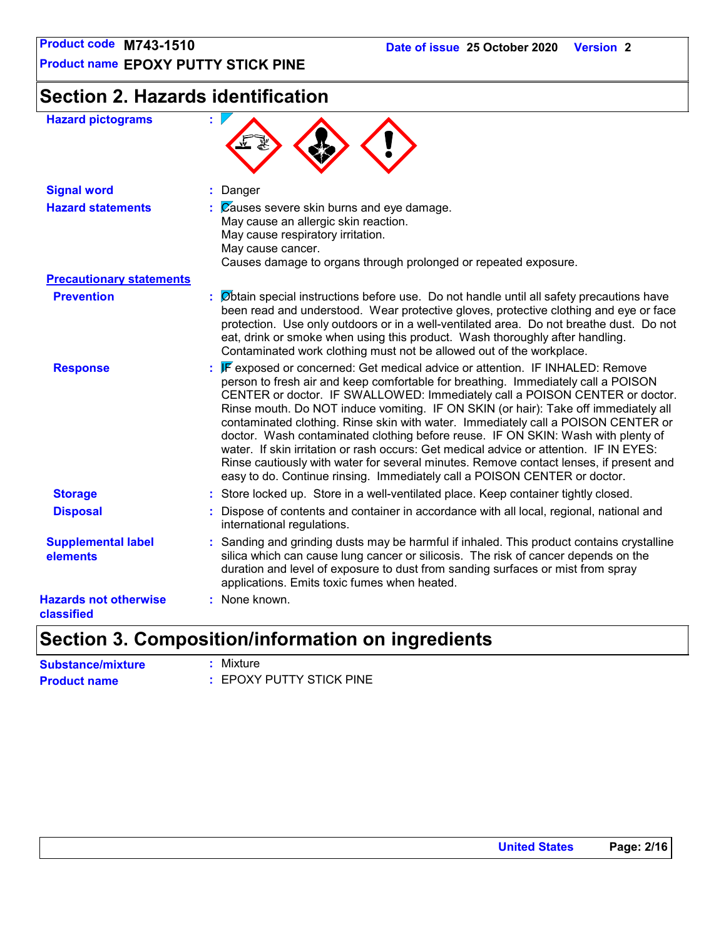# **Section 2. Hazards identification**

| <b>Hazard pictograms</b>                   | ٠                                                                                                                                                                                                                                                                                                                                                                                                                                                                                                                                                                                                                                                                                                                                                                                  |
|--------------------------------------------|------------------------------------------------------------------------------------------------------------------------------------------------------------------------------------------------------------------------------------------------------------------------------------------------------------------------------------------------------------------------------------------------------------------------------------------------------------------------------------------------------------------------------------------------------------------------------------------------------------------------------------------------------------------------------------------------------------------------------------------------------------------------------------|
| <b>Signal word</b>                         | : Danger                                                                                                                                                                                                                                                                                                                                                                                                                                                                                                                                                                                                                                                                                                                                                                           |
| <b>Hazard statements</b>                   | $\therefore$ $\mathbb{Z}$ auses severe skin burns and eye damage.<br>May cause an allergic skin reaction.<br>May cause respiratory irritation.<br>May cause cancer.<br>Causes damage to organs through prolonged or repeated exposure.                                                                                                                                                                                                                                                                                                                                                                                                                                                                                                                                             |
| <b>Precautionary statements</b>            |                                                                                                                                                                                                                                                                                                                                                                                                                                                                                                                                                                                                                                                                                                                                                                                    |
| <b>Prevention</b>                          | : Øbtain special instructions before use. Do not handle until all safety precautions have<br>been read and understood. Wear protective gloves, protective clothing and eye or face<br>protection. Use only outdoors or in a well-ventilated area. Do not breathe dust. Do not<br>eat, drink or smoke when using this product. Wash thoroughly after handling.<br>Contaminated work clothing must not be allowed out of the workplace.                                                                                                                                                                                                                                                                                                                                              |
| <b>Response</b>                            | : F exposed or concerned: Get medical advice or attention. IF INHALED: Remove<br>person to fresh air and keep comfortable for breathing. Immediately call a POISON<br>CENTER or doctor. IF SWALLOWED: Immediately call a POISON CENTER or doctor.<br>Rinse mouth. Do NOT induce vomiting. IF ON SKIN (or hair): Take off immediately all<br>contaminated clothing. Rinse skin with water. Immediately call a POISON CENTER or<br>doctor. Wash contaminated clothing before reuse. IF ON SKIN: Wash with plenty of<br>water. If skin irritation or rash occurs: Get medical advice or attention. IF IN EYES:<br>Rinse cautiously with water for several minutes. Remove contact lenses, if present and<br>easy to do. Continue rinsing. Immediately call a POISON CENTER or doctor. |
| <b>Storage</b>                             | : Store locked up. Store in a well-ventilated place. Keep container tightly closed.                                                                                                                                                                                                                                                                                                                                                                                                                                                                                                                                                                                                                                                                                                |
| <b>Disposal</b>                            | : Dispose of contents and container in accordance with all local, regional, national and<br>international regulations.                                                                                                                                                                                                                                                                                                                                                                                                                                                                                                                                                                                                                                                             |
| <b>Supplemental label</b><br>elements      | : Sanding and grinding dusts may be harmful if inhaled. This product contains crystalline<br>silica which can cause lung cancer or silicosis. The risk of cancer depends on the<br>duration and level of exposure to dust from sanding surfaces or mist from spray<br>applications. Emits toxic fumes when heated.                                                                                                                                                                                                                                                                                                                                                                                                                                                                 |
| <b>Hazards not otherwise</b><br>classified | : None known.                                                                                                                                                                                                                                                                                                                                                                                                                                                                                                                                                                                                                                                                                                                                                                      |

# **Section 3. Composition/information on ingredients**

| <b>Substance/mixture</b> | : Mixture                |
|--------------------------|--------------------------|
| <b>Product name</b>      | : EPOXY PUTTY STICK PINE |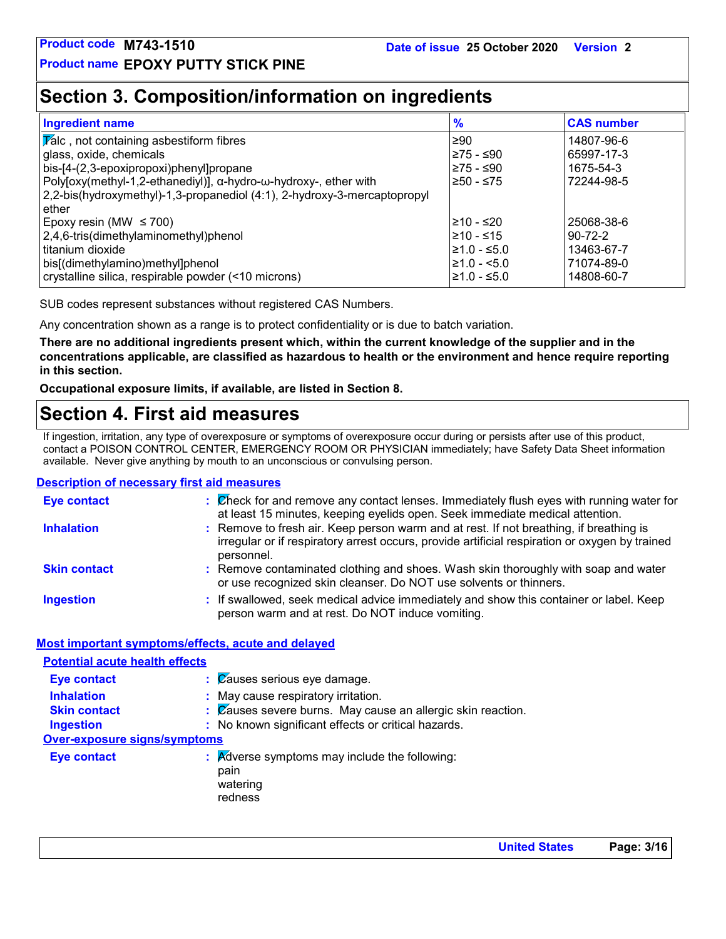# **Section 3. Composition/information on ingredients**

| <b>Ingredient name</b>                                                   | $\frac{9}{6}$    | <b>CAS number</b> |
|--------------------------------------------------------------------------|------------------|-------------------|
| $ \overline{V}$ alc, not containing asbestiform fibres                   | l≥90             | 14807-96-6        |
| glass, oxide, chemicals                                                  | ≥75 - ≤90        | 65997-17-3        |
| bis-[4-(2,3-epoxipropoxi)phenyl]propane                                  | l≥75 - ≤90       | 1675-54-3         |
| Poly[oxy(methyl-1,2-ethanediyl)], α-hydro-ω-hydroxy-, ether with         | 250 - ≤75        | 72244-98-5        |
| 2,2-bis(hydroxymethyl)-1,3-propanediol (4:1), 2-hydroxy-3-mercaptopropyl |                  |                   |
| ether                                                                    |                  |                   |
| Epoxy resin (MW $\leq$ 700)                                              | l≥10 - ≤20       | 25068-38-6        |
| 2,4,6-tris(dimethylaminomethyl)phenol                                    | $≥10 - ≤15$      | $90 - 72 - 2$     |
| l titanium dioxide                                                       | $\geq 1.0 - 5.0$ | 13463-67-7        |
| bis[(dimethylamino)methyl]phenol                                         | $\geq 1.0 - 5.0$ | 71074-89-0        |
| crystalline silica, respirable powder (<10 microns)                      | ≥1.0 - ≤5.0      | 14808-60-7        |

SUB codes represent substances without registered CAS Numbers.

Any concentration shown as a range is to protect confidentiality or is due to batch variation.

**There are no additional ingredients present which, within the current knowledge of the supplier and in the concentrations applicable, are classified as hazardous to health or the environment and hence require reporting in this section.**

**Occupational exposure limits, if available, are listed in Section 8.**

# **Section 4. First aid measures**

If ingestion, irritation, any type of overexposure or symptoms of overexposure occur during or persists after use of this product, contact a POISON CONTROL CENTER, EMERGENCY ROOM OR PHYSICIAN immediately; have Safety Data Sheet information available. Never give anything by mouth to an unconscious or convulsing person.

### **Description of necessary first aid measures**

| <b>Eye contact</b>  | : Check for and remove any contact lenses. Immediately flush eyes with running water for<br>at least 15 minutes, keeping eyelids open. Seek immediate medical attention.                               |
|---------------------|--------------------------------------------------------------------------------------------------------------------------------------------------------------------------------------------------------|
| <b>Inhalation</b>   | : Remove to fresh air. Keep person warm and at rest. If not breathing, if breathing is<br>irregular or if respiratory arrest occurs, provide artificial respiration or oxygen by trained<br>personnel. |
| <b>Skin contact</b> | : Remove contaminated clothing and shoes. Wash skin thoroughly with soap and water<br>or use recognized skin cleanser. Do NOT use solvents or thinners.                                                |
| <b>Ingestion</b>    | : If swallowed, seek medical advice immediately and show this container or label. Keep<br>person warm and at rest. Do NOT induce vomiting.                                                             |

### **Most important symptoms/effects, acute and delayed**

| <b>Potential acute health effects</b> |                                                                                         |
|---------------------------------------|-----------------------------------------------------------------------------------------|
| <b>Eye contact</b>                    | $\therefore$ $\%$ auses serious eye damage.                                             |
| <b>Inhalation</b>                     | : May cause respiratory irritation.                                                     |
| <b>Skin contact</b>                   | : Causes severe burns. May cause an allergic skin reaction.                             |
| <b>Ingestion</b>                      | : No known significant effects or critical hazards.                                     |
| <b>Over-exposure signs/symptoms</b>   |                                                                                         |
| <b>Eye contact</b>                    | $\therefore$ Adverse symptoms may include the following:<br>pain<br>watering<br>redness |

**United States Page: 3/16**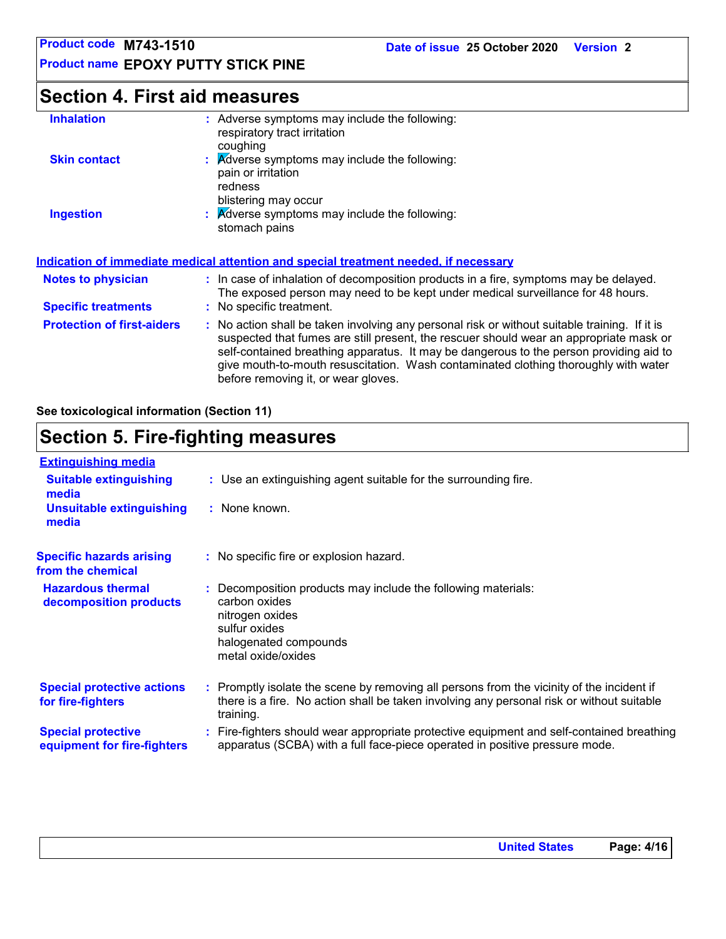**Product name EPOXY PUTTY STICK PINE**

# **Section 4. First aid measures**

| <b>Inhalation</b>                 | : Adverse symptoms may include the following:<br>respiratory tract irritation<br>coughing                                                                                                                                                                                                                                                                                                                       |
|-----------------------------------|-----------------------------------------------------------------------------------------------------------------------------------------------------------------------------------------------------------------------------------------------------------------------------------------------------------------------------------------------------------------------------------------------------------------|
| <b>Skin contact</b>               | : Adverse symptoms may include the following:<br>pain or irritation<br>redness<br>blistering may occur                                                                                                                                                                                                                                                                                                          |
| <b>Ingestion</b>                  | : Adverse symptoms may include the following:<br>stomach pains                                                                                                                                                                                                                                                                                                                                                  |
|                                   | <b>Indication of immediate medical attention and special treatment needed, if necessary</b>                                                                                                                                                                                                                                                                                                                     |
| <b>Notes to physician</b>         | : In case of inhalation of decomposition products in a fire, symptoms may be delayed.<br>The exposed person may need to be kept under medical surveillance for 48 hours.                                                                                                                                                                                                                                        |
| <b>Specific treatments</b>        | : No specific treatment.                                                                                                                                                                                                                                                                                                                                                                                        |
| <b>Protection of first-aiders</b> | : No action shall be taken involving any personal risk or without suitable training. If it is<br>suspected that fumes are still present, the rescuer should wear an appropriate mask or<br>self-contained breathing apparatus. It may be dangerous to the person providing aid to<br>give mouth-to-mouth resuscitation. Wash contaminated clothing thoroughly with water<br>before removing it, or wear gloves. |

**See toxicological information (Section 11)**

# **Section 5. Fire-fighting measures**

| <b>Extinguishing media</b>                               |                                                                                                                                                                                                     |
|----------------------------------------------------------|-----------------------------------------------------------------------------------------------------------------------------------------------------------------------------------------------------|
| <b>Suitable extinguishing</b><br>media                   | : Use an extinguishing agent suitable for the surrounding fire.                                                                                                                                     |
| <b>Unsuitable extinguishing</b><br>media                 | : None known.                                                                                                                                                                                       |
| <b>Specific hazards arising</b><br>from the chemical     | : No specific fire or explosion hazard.                                                                                                                                                             |
| <b>Hazardous thermal</b><br>decomposition products       | Decomposition products may include the following materials:<br>carbon oxides<br>nitrogen oxides<br>sulfur oxides<br>halogenated compounds<br>metal oxide/oxides                                     |
| <b>Special protective actions</b><br>for fire-fighters   | : Promptly isolate the scene by removing all persons from the vicinity of the incident if<br>there is a fire. No action shall be taken involving any personal risk or without suitable<br>training. |
| <b>Special protective</b><br>equipment for fire-fighters | : Fire-fighters should wear appropriate protective equipment and self-contained breathing<br>apparatus (SCBA) with a full face-piece operated in positive pressure mode.                            |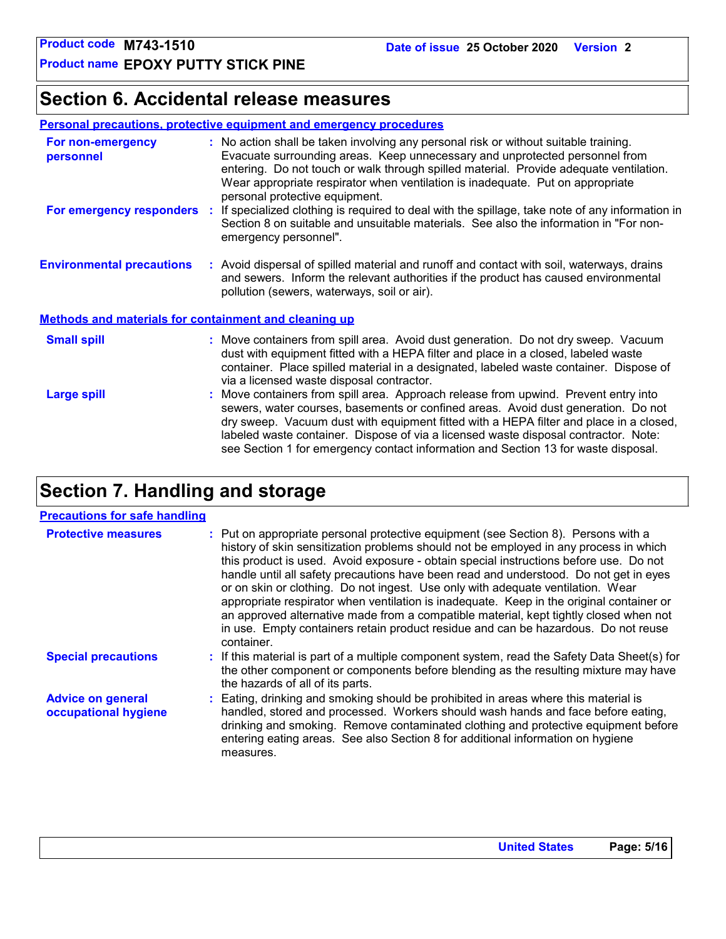# **Section 6. Accidental release measures**

### **Personal precautions, protective equipment and emergency procedures**

| For non-emergency<br>personnel                               | : No action shall be taken involving any personal risk or without suitable training.<br>Evacuate surrounding areas. Keep unnecessary and unprotected personnel from<br>entering. Do not touch or walk through spilled material. Provide adequate ventilation.<br>Wear appropriate respirator when ventilation is inadequate. Put on appropriate<br>personal protective equipment.                                                               |  |
|--------------------------------------------------------------|-------------------------------------------------------------------------------------------------------------------------------------------------------------------------------------------------------------------------------------------------------------------------------------------------------------------------------------------------------------------------------------------------------------------------------------------------|--|
| For emergency responders                                     | : If specialized clothing is required to deal with the spillage, take note of any information in<br>Section 8 on suitable and unsuitable materials. See also the information in "For non-<br>emergency personnel".                                                                                                                                                                                                                              |  |
| <b>Environmental precautions</b>                             | : Avoid dispersal of spilled material and runoff and contact with soil, waterways, drains<br>and sewers. Inform the relevant authorities if the product has caused environmental<br>pollution (sewers, waterways, soil or air).                                                                                                                                                                                                                 |  |
| <b>Methods and materials for containment and cleaning up</b> |                                                                                                                                                                                                                                                                                                                                                                                                                                                 |  |
| <b>Small spill</b>                                           | : Move containers from spill area. Avoid dust generation. Do not dry sweep. Vacuum<br>dust with equipment fitted with a HEPA filter and place in a closed, labeled waste<br>container. Place spilled material in a designated, labeled waste container. Dispose of<br>via a licensed waste disposal contractor.                                                                                                                                 |  |
| <b>Large spill</b>                                           | : Move containers from spill area. Approach release from upwind. Prevent entry into<br>sewers, water courses, basements or confined areas. Avoid dust generation. Do not<br>dry sweep. Vacuum dust with equipment fitted with a HEPA filter and place in a closed,<br>labeled waste container. Dispose of via a licensed waste disposal contractor. Note:<br>see Section 1 for emergency contact information and Section 13 for waste disposal. |  |

# **Section 7. Handling and storage**

### **Precautions for safe handling**

| <b>Protective measures</b>                       | : Put on appropriate personal protective equipment (see Section 8). Persons with a<br>history of skin sensitization problems should not be employed in any process in which<br>this product is used. Avoid exposure - obtain special instructions before use. Do not<br>handle until all safety precautions have been read and understood. Do not get in eyes<br>or on skin or clothing. Do not ingest. Use only with adequate ventilation. Wear<br>appropriate respirator when ventilation is inadequate. Keep in the original container or<br>an approved alternative made from a compatible material, kept tightly closed when not<br>in use. Empty containers retain product residue and can be hazardous. Do not reuse<br>container. |
|--------------------------------------------------|-------------------------------------------------------------------------------------------------------------------------------------------------------------------------------------------------------------------------------------------------------------------------------------------------------------------------------------------------------------------------------------------------------------------------------------------------------------------------------------------------------------------------------------------------------------------------------------------------------------------------------------------------------------------------------------------------------------------------------------------|
| <b>Special precautions</b>                       | : If this material is part of a multiple component system, read the Safety Data Sheet(s) for<br>the other component or components before blending as the resulting mixture may have<br>the hazards of all of its parts.                                                                                                                                                                                                                                                                                                                                                                                                                                                                                                                   |
| <b>Advice on general</b><br>occupational hygiene | : Eating, drinking and smoking should be prohibited in areas where this material is<br>handled, stored and processed. Workers should wash hands and face before eating,<br>drinking and smoking. Remove contaminated clothing and protective equipment before<br>entering eating areas. See also Section 8 for additional information on hygiene<br>measures.                                                                                                                                                                                                                                                                                                                                                                             |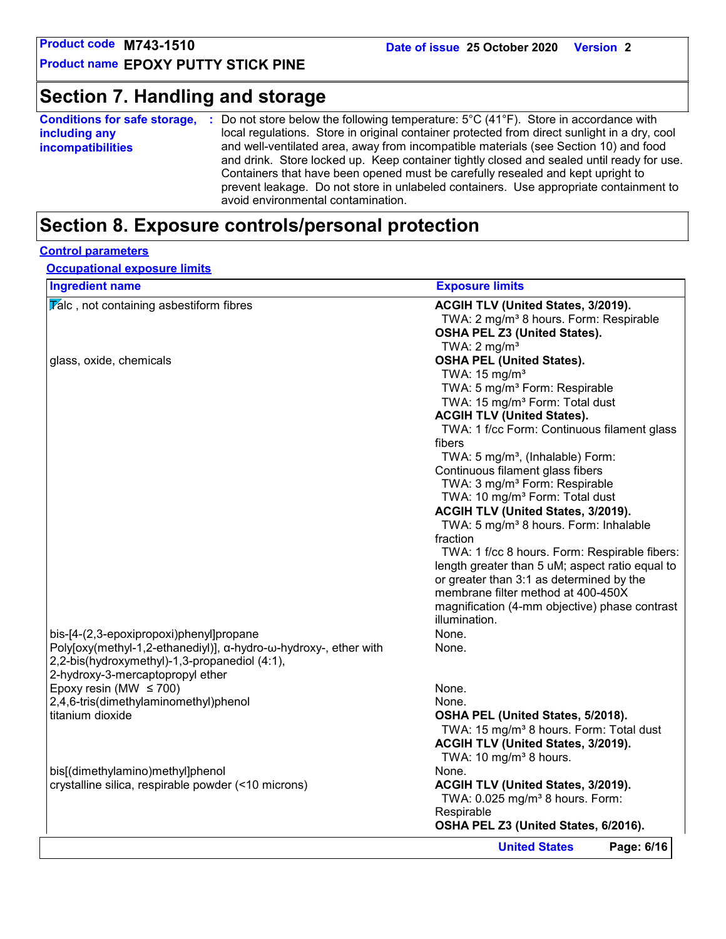# **Section 7. Handling and storage**

| local regulations. Store in original container protected from direct sunlight in a dry, cool<br>including any<br>and well-ventilated area, away from incompatible materials (see Section 10) and food<br><b>incompatibilities</b><br>and drink. Store locked up. Keep container tightly closed and sealed until ready for use.<br>Containers that have been opened must be carefully resealed and kept upright to<br>prevent leakage. Do not store in unlabeled containers. Use appropriate containment to | <b>Conditions for safe storage,</b> | Do not store below the following temperature: $5^{\circ}$ C (41 $^{\circ}$ F). Store in accordance with |
|------------------------------------------------------------------------------------------------------------------------------------------------------------------------------------------------------------------------------------------------------------------------------------------------------------------------------------------------------------------------------------------------------------------------------------------------------------------------------------------------------------|-------------------------------------|---------------------------------------------------------------------------------------------------------|
|                                                                                                                                                                                                                                                                                                                                                                                                                                                                                                            |                                     |                                                                                                         |
|                                                                                                                                                                                                                                                                                                                                                                                                                                                                                                            |                                     | avoid environmental contamination.                                                                      |

# **Section 8. Exposure controls/personal protection**

### **Control parameters**

**Occupational exposure limits**

| <b>Ingredient name</b>                                           | <b>Exposure limits</b>                              |
|------------------------------------------------------------------|-----------------------------------------------------|
| $\overline{V}$ alc, not containing asbestiform fibres            | ACGIH TLV (United States, 3/2019).                  |
|                                                                  | TWA: 2 mg/m <sup>3</sup> 8 hours. Form: Respirable  |
|                                                                  | OSHA PEL Z3 (United States).                        |
|                                                                  | TWA: $2 \text{ mg/m}^3$                             |
| glass, oxide, chemicals                                          | <b>OSHA PEL (United States).</b>                    |
|                                                                  | TWA: $15 \text{ mg/m}^3$                            |
|                                                                  | TWA: 5 mg/m <sup>3</sup> Form: Respirable           |
|                                                                  | TWA: 15 mg/m <sup>3</sup> Form: Total dust          |
|                                                                  | <b>ACGIH TLV (United States).</b>                   |
|                                                                  | TWA: 1 f/cc Form: Continuous filament glass         |
|                                                                  | fibers                                              |
|                                                                  | TWA: 5 mg/m <sup>3</sup> , (Inhalable) Form:        |
|                                                                  | Continuous filament glass fibers                    |
|                                                                  | TWA: 3 mg/m <sup>3</sup> Form: Respirable           |
|                                                                  | TWA: 10 mg/m <sup>3</sup> Form: Total dust          |
|                                                                  | ACGIH TLV (United States, 3/2019).                  |
|                                                                  | TWA: 5 mg/m <sup>3</sup> 8 hours. Form: Inhalable   |
|                                                                  | fraction                                            |
|                                                                  | TWA: 1 f/cc 8 hours. Form: Respirable fibers:       |
|                                                                  | length greater than 5 uM; aspect ratio equal to     |
|                                                                  | or greater than 3:1 as determined by the            |
|                                                                  | membrane filter method at 400-450X                  |
|                                                                  | magnification (4-mm objective) phase contrast       |
|                                                                  | illumination.                                       |
| bis-[4-(2,3-epoxipropoxi)phenyl]propane                          | None.                                               |
| Poly[oxy(methyl-1,2-ethanediyl)], α-hydro-ω-hydroxy-, ether with | None.                                               |
| 2,2-bis(hydroxymethyl)-1,3-propanediol (4:1),                    |                                                     |
| 2-hydroxy-3-mercaptopropyl ether                                 |                                                     |
| Epoxy resin (MW $\leq$ 700)                                      | None.                                               |
| 2,4,6-tris(dimethylaminomethyl)phenol                            | None.                                               |
| titanium dioxide                                                 |                                                     |
|                                                                  | OSHA PEL (United States, 5/2018).                   |
|                                                                  | TWA: 15 mg/m <sup>3</sup> 8 hours. Form: Total dust |
|                                                                  | ACGIH TLV (United States, 3/2019).                  |
|                                                                  | TWA: 10 mg/m <sup>3</sup> 8 hours.                  |
| bis[(dimethylamino)methyl]phenol                                 | None.                                               |
| crystalline silica, respirable powder (<10 microns)              | ACGIH TLV (United States, 3/2019).                  |
|                                                                  | TWA: 0.025 mg/m <sup>3</sup> 8 hours. Form:         |
|                                                                  | Respirable                                          |
|                                                                  | OSHA PEL Z3 (United States, 6/2016).                |
|                                                                  | Page: 6/16<br><b>United States</b>                  |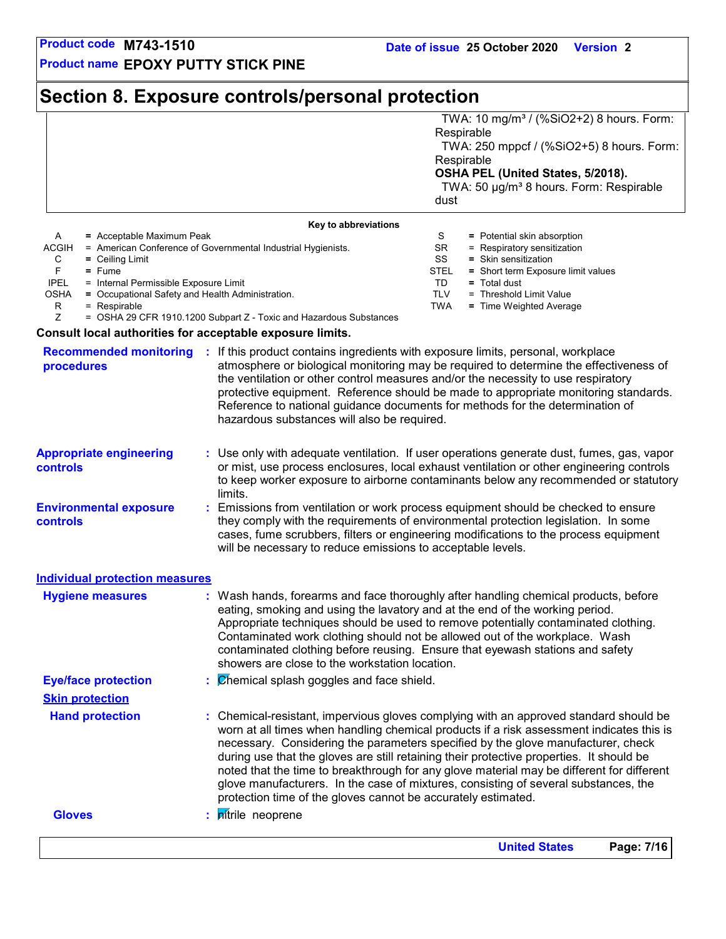TD **=** Total dust

TLV = Threshold Limit Value TWA **=** Time Weighted Average

STEL **=** Short term Exposure limit values

**Product name EPOXY PUTTY STICK PINE**

# **Section 8. Exposure controls/personal protection**

|       |                                                              | dust      | TWA: 10 mg/m <sup>3</sup> / (%SiO2+2) 8 hours. Form:<br>Respirable<br>TWA: 250 mppcf / (%SiO2+5) 8 hours. Form:<br>Respirable<br>OSHA PEL (United States, 5/2018).<br>TWA: 50 µg/m <sup>3</sup> 8 hours. Form: Respirable |
|-------|--------------------------------------------------------------|-----------|---------------------------------------------------------------------------------------------------------------------------------------------------------------------------------------------------------------------------|
|       | Key to abbreviations                                         |           |                                                                                                                                                                                                                           |
| A     | $=$ Acceptable Maximum Peak                                  | S         | = Potential skin absorption                                                                                                                                                                                               |
| ACGIH | = American Conference of Governmental Industrial Hygienists. | <b>SR</b> | = Respiratory sensitization                                                                                                                                                                                               |
| C     | $=$ Ceiling Limit                                            | SS        | = Skin sensitization                                                                                                                                                                                                      |

- C **=** Ceiling Limit
- 

F **=** Fume = Internal Permissible Exposure Limit

- OSHA **=** Occupational Safety and Health Administration.
	- $R = Respirable$ <br> $Z = OSHA 29 C$

= OSHA 29 CFR 1910.1200 Subpart Z - Toxic and Hazardous Substances

### **Consult local authorities for acceptable exposure limits.**

| <b>Recommended monitoring</b><br>procedures       | If this product contains ingredients with exposure limits, personal, workplace<br>atmosphere or biological monitoring may be required to determine the effectiveness of<br>the ventilation or other control measures and/or the necessity to use respiratory<br>protective equipment. Reference should be made to appropriate monitoring standards.<br>Reference to national guidance documents for methods for the determination of<br>hazardous substances will also be required.                                                                                                                                    |
|---------------------------------------------------|------------------------------------------------------------------------------------------------------------------------------------------------------------------------------------------------------------------------------------------------------------------------------------------------------------------------------------------------------------------------------------------------------------------------------------------------------------------------------------------------------------------------------------------------------------------------------------------------------------------------|
| <b>Appropriate engineering</b><br><b>controls</b> | : Use only with adequate ventilation. If user operations generate dust, fumes, gas, vapor<br>or mist, use process enclosures, local exhaust ventilation or other engineering controls<br>to keep worker exposure to airborne contaminants below any recommended or statutory<br>limits.                                                                                                                                                                                                                                                                                                                                |
| <b>Environmental exposure</b><br><b>controls</b>  | : Emissions from ventilation or work process equipment should be checked to ensure<br>they comply with the requirements of environmental protection legislation. In some<br>cases, fume scrubbers, filters or engineering modifications to the process equipment<br>will be necessary to reduce emissions to acceptable levels.                                                                                                                                                                                                                                                                                        |
| <b>Individual protection measures</b>             |                                                                                                                                                                                                                                                                                                                                                                                                                                                                                                                                                                                                                        |
| <b>Hygiene measures</b>                           | : Wash hands, forearms and face thoroughly after handling chemical products, before<br>eating, smoking and using the lavatory and at the end of the working period.<br>Appropriate techniques should be used to remove potentially contaminated clothing.<br>Contaminated work clothing should not be allowed out of the workplace. Wash<br>contaminated clothing before reusing. Ensure that eyewash stations and safety<br>showers are close to the workstation location.                                                                                                                                            |
| <b>Eye/face protection</b>                        | $\therefore$ $\emptyset$ hemical splash goggles and face shield.                                                                                                                                                                                                                                                                                                                                                                                                                                                                                                                                                       |
| <b>Skin protection</b>                            |                                                                                                                                                                                                                                                                                                                                                                                                                                                                                                                                                                                                                        |
| <b>Hand protection</b>                            | : Chemical-resistant, impervious gloves complying with an approved standard should be<br>worn at all times when handling chemical products if a risk assessment indicates this is<br>necessary. Considering the parameters specified by the glove manufacturer, check<br>during use that the gloves are still retaining their protective properties. It should be<br>noted that the time to breakthrough for any glove material may be different for different<br>glove manufacturers. In the case of mixtures, consisting of several substances, the<br>protection time of the gloves cannot be accurately estimated. |
| <b>Gloves</b>                                     | : pitrile neoprene                                                                                                                                                                                                                                                                                                                                                                                                                                                                                                                                                                                                     |
|                                                   |                                                                                                                                                                                                                                                                                                                                                                                                                                                                                                                                                                                                                        |

**United States Page: 7/16**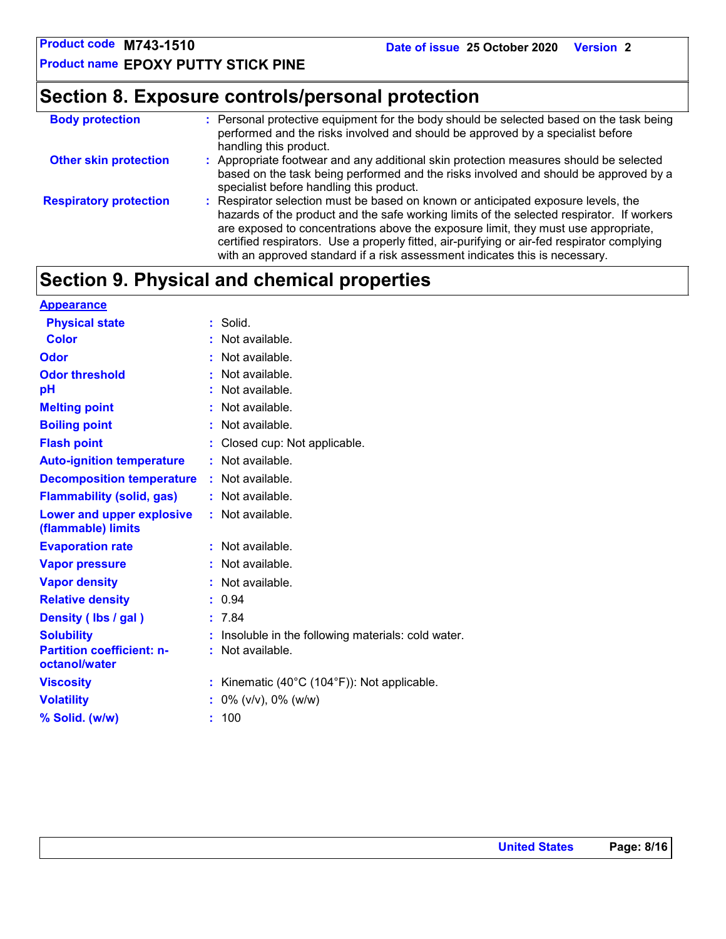**Product name EPOXY PUTTY STICK PINE**

# **Section 8. Exposure controls/personal protection**

| <b>Body protection</b>        | : Personal protective equipment for the body should be selected based on the task being<br>performed and the risks involved and should be approved by a specialist before<br>handling this product.                                                                                                                                                                                                                                                |
|-------------------------------|----------------------------------------------------------------------------------------------------------------------------------------------------------------------------------------------------------------------------------------------------------------------------------------------------------------------------------------------------------------------------------------------------------------------------------------------------|
| <b>Other skin protection</b>  | : Appropriate footwear and any additional skin protection measures should be selected<br>based on the task being performed and the risks involved and should be approved by a<br>specialist before handling this product.                                                                                                                                                                                                                          |
| <b>Respiratory protection</b> | : Respirator selection must be based on known or anticipated exposure levels, the<br>hazards of the product and the safe working limits of the selected respirator. If workers<br>are exposed to concentrations above the exposure limit, they must use appropriate,<br>certified respirators. Use a properly fitted, air-purifying or air-fed respirator complying<br>with an approved standard if a risk assessment indicates this is necessary. |

# **Section 9. Physical and chemical properties**

| <b>Appearance</b>                                 |                                                   |
|---------------------------------------------------|---------------------------------------------------|
| <b>Physical state</b>                             | Solid.                                            |
| <b>Color</b>                                      | Not available.                                    |
| Odor                                              | Not available.                                    |
| <b>Odor threshold</b>                             | Not available.                                    |
| рH                                                | Not available.                                    |
| <b>Melting point</b>                              | Not available.                                    |
| <b>Boiling point</b>                              | Not available.                                    |
| <b>Flash point</b>                                | Closed cup: Not applicable.                       |
| <b>Auto-ignition temperature</b>                  | Not available.                                    |
| <b>Decomposition temperature</b>                  | $:$ Not available.                                |
| <b>Flammability (solid, gas)</b>                  | Not available.                                    |
| Lower and upper explosive<br>(flammable) limits   | : Not available.                                  |
| <b>Evaporation rate</b>                           | Not available.<br>÷.                              |
| <b>Vapor pressure</b>                             | Not available.                                    |
| <b>Vapor density</b>                              | Not available.                                    |
| <b>Relative density</b>                           | 0.94                                              |
| Density (Ibs / gal)                               | 7.84                                              |
| <b>Solubility</b>                                 | Insoluble in the following materials: cold water. |
| <b>Partition coefficient: n-</b><br>octanol/water | Not available.                                    |
| <b>Viscosity</b>                                  | Kinematic (40°C (104°F)): Not applicable.<br>t.   |
| <b>Volatility</b>                                 | $0\%$ (v/v), $0\%$ (w/w)                          |
| % Solid. (w/w)                                    | 100<br>ř.                                         |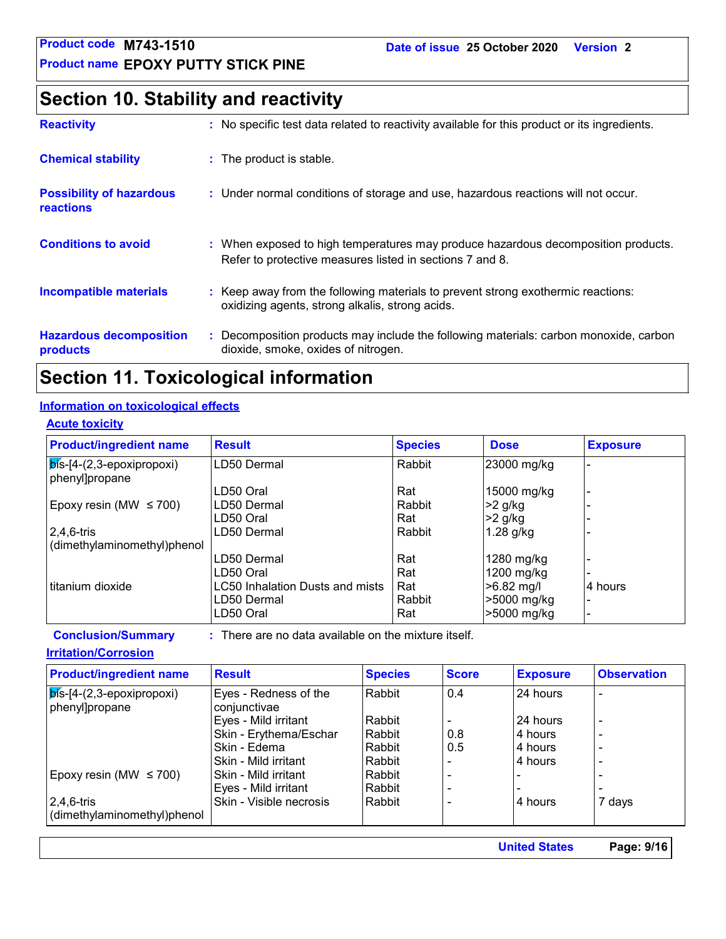# **Section 10. Stability and reactivity**

| <b>Reactivity</b>                            | : No specific test data related to reactivity available for this product or its ingredients.                                                  |
|----------------------------------------------|-----------------------------------------------------------------------------------------------------------------------------------------------|
| <b>Chemical stability</b>                    | : The product is stable.                                                                                                                      |
| <b>Possibility of hazardous</b><br>reactions | : Under normal conditions of storage and use, hazardous reactions will not occur.                                                             |
| <b>Conditions to avoid</b>                   | : When exposed to high temperatures may produce hazardous decomposition products.<br>Refer to protective measures listed in sections 7 and 8. |
| <b>Incompatible materials</b>                | : Keep away from the following materials to prevent strong exothermic reactions:<br>oxidizing agents, strong alkalis, strong acids.           |
| <b>Hazardous decomposition</b><br>products   | : Decomposition products may include the following materials: carbon monoxide, carbon<br>dioxide, smoke, oxides of nitrogen.                  |

# **Section 11. Toxicological information**

### **Information on toxicological effects**

### **Acute toxicity**

| <b>Product/ingredient name</b>                    | <b>Result</b>                   | <b>Species</b> | <b>Dose</b> | <b>Exposure</b> |
|---------------------------------------------------|---------------------------------|----------------|-------------|-----------------|
| $ \overline{\mathsf{pis}}$ -[4-(2,3-epoxipropoxi) | LD50 Dermal                     | Rabbit         | 23000 mg/kg |                 |
| phenyl]propane                                    |                                 |                |             |                 |
|                                                   | LD50 Oral                       | Rat            | 15000 mg/kg |                 |
| Epoxy resin (MW $\leq$ 700)                       | LD50 Dermal                     | Rabbit         | >2 g/kg     |                 |
|                                                   | LD50 Oral                       | Rat            | $>2$ g/kg   |                 |
| $ 2,4,6$ -tris                                    | LD50 Dermal                     | Rabbit         | $1.28$ g/kg |                 |
| (dimethylaminomethyl)phenol                       |                                 |                |             |                 |
|                                                   | LD50 Dermal                     | Rat            | 1280 mg/kg  |                 |
|                                                   | LD50 Oral                       | Rat            | 1200 mg/kg  |                 |
| I titanium dioxide                                | LC50 Inhalation Dusts and mists | Rat            | >6.82 mg/l  | 4 hours         |
|                                                   | LD50 Dermal                     | Rabbit         | >5000 mg/kg |                 |
|                                                   | LD50 Oral                       | Rat            | >5000 mg/kg |                 |

**Conclusion/Summary :** : There are no data available on the mixture itself.

### **Irritation/Corrosion**

| <b>Product/ingredient name</b>                       | <b>Result</b>                         | <b>Species</b> | <b>Score</b> | <b>Exposure</b> | <b>Observation</b>       |
|------------------------------------------------------|---------------------------------------|----------------|--------------|-----------------|--------------------------|
| $ \vec{b}$ s-[4-(2,3-epoxipropoxi)<br>phenyl]propane | Eyes - Redness of the<br>conjunctivae | Rabbit         | 0.4          | 24 hours        | $\overline{a}$           |
|                                                      | Eyes - Mild irritant                  | Rabbit         |              | 24 hours        | $\overline{\phantom{0}}$ |
|                                                      | Skin - Erythema/Eschar                | Rabbit         | 0.8          | 4 hours         | $\overline{a}$           |
|                                                      | Skin - Edema                          | Rabbit         | 0.5          | 4 hours         | $\overline{a}$           |
|                                                      | Skin - Mild irritant                  | Rabbit         |              | 4 hours         | $\overline{a}$           |
| Epoxy resin (MW $\leq$ 700)                          | Skin - Mild irritant                  | Rabbit         |              |                 |                          |
|                                                      | Eyes - Mild irritant                  | Rabbit         |              |                 |                          |
| $2,4,6$ -tris                                        | Skin - Visible necrosis               | Rabbit         |              | 4 hours         | 7 days                   |
| dimethylaminomethyl)phenol                           |                                       |                |              |                 |                          |

**United States Page: 9/16**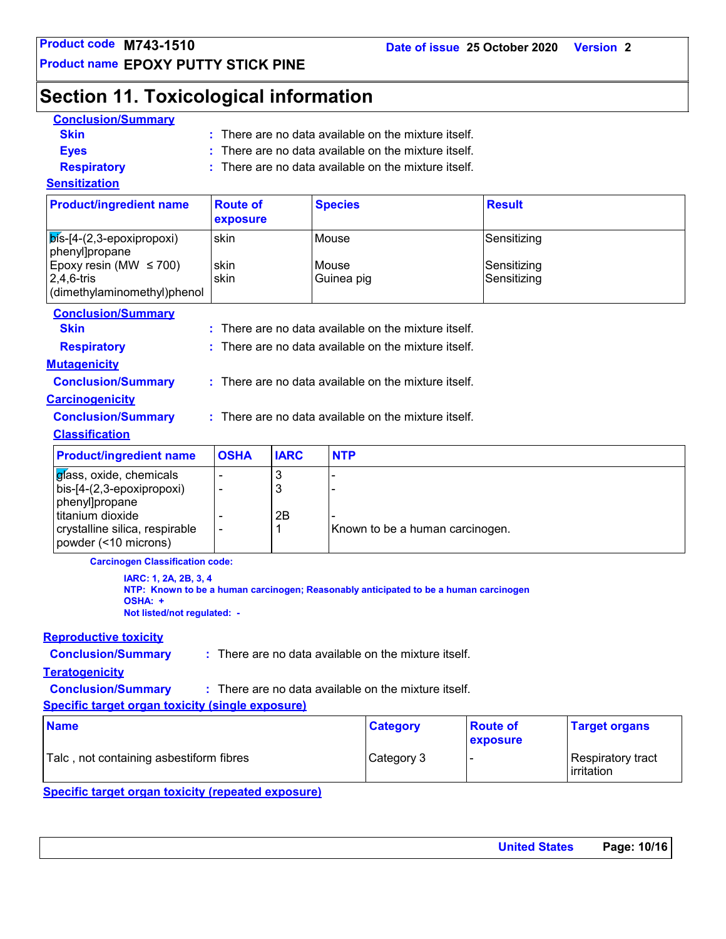**Product name EPOXY PUTTY STICK PINE**

# **Section 11. Toxicological information**

| <b>Conclusion/Summary</b>                                                                                                                            |                                                    |                   |                                                                                      |                                           |  |  |  |
|------------------------------------------------------------------------------------------------------------------------------------------------------|----------------------------------------------------|-------------------|--------------------------------------------------------------------------------------|-------------------------------------------|--|--|--|
| <b>Skin</b>                                                                                                                                          | There are no data available on the mixture itself. |                   |                                                                                      |                                           |  |  |  |
| <b>Eyes</b>                                                                                                                                          | There are no data available on the mixture itself. |                   |                                                                                      |                                           |  |  |  |
| <b>Respiratory</b>                                                                                                                                   | There are no data available on the mixture itself. |                   |                                                                                      |                                           |  |  |  |
| <b>Sensitization</b>                                                                                                                                 |                                                    |                   |                                                                                      |                                           |  |  |  |
| <b>Product/ingredient name</b>                                                                                                                       | <b>Route of</b><br>exposure                        |                   | <b>Species</b>                                                                       | <b>Result</b>                             |  |  |  |
| $\mathsf{b}$ ís-[4-(2,3-epoxipropoxi)<br>phenyl]propane<br>Epoxy resin (MW $\leq$ 700)<br>$2,4,6$ -tris<br>(dimethylaminomethyl)phenol               | skin<br>skin<br>skin                               |                   | Mouse<br>Mouse<br>Guinea pig                                                         | Sensitizing<br>Sensitizing<br>Sensitizing |  |  |  |
| <b>Conclusion/Summary</b>                                                                                                                            |                                                    |                   |                                                                                      |                                           |  |  |  |
| <b>Skin</b>                                                                                                                                          |                                                    |                   | There are no data available on the mixture itself.                                   |                                           |  |  |  |
| <b>Respiratory</b>                                                                                                                                   |                                                    |                   | There are no data available on the mixture itself.                                   |                                           |  |  |  |
| <b>Mutagenicity</b>                                                                                                                                  |                                                    |                   |                                                                                      |                                           |  |  |  |
| <b>Conclusion/Summary</b>                                                                                                                            |                                                    |                   | : There are no data available on the mixture itself.                                 |                                           |  |  |  |
| <b>Carcinogenicity</b>                                                                                                                               |                                                    |                   |                                                                                      |                                           |  |  |  |
| <b>Conclusion/Summary</b>                                                                                                                            |                                                    |                   | : There are no data available on the mixture itself.                                 |                                           |  |  |  |
| <b>Classification</b>                                                                                                                                |                                                    |                   |                                                                                      |                                           |  |  |  |
| <b>Product/ingredient name</b>                                                                                                                       | <b>OSHA</b>                                        | <b>IARC</b>       | <b>NTP</b>                                                                           |                                           |  |  |  |
| gíass, oxide, chemicals<br>bis-[4-(2,3-epoxipropoxi)<br>phenyl]propane<br>titanium dioxide<br>crystalline silica, respirable<br>powder (<10 microns) |                                                    | 3<br>3<br>2B<br>1 | Known to be a human carcinogen.                                                      |                                           |  |  |  |
| <b>Carcinogen Classification code:</b>                                                                                                               |                                                    |                   |                                                                                      |                                           |  |  |  |
| IARC: 1, 2A, 2B, 3, 4<br>OSHA: +<br>Not listed/not regulated: -                                                                                      |                                                    |                   | NTP: Known to be a human carcinogen; Reasonably anticipated to be a human carcinogen |                                           |  |  |  |
| <b>Reproductive toxicity</b>                                                                                                                         |                                                    |                   |                                                                                      |                                           |  |  |  |
| <b>Conclusion/Summary</b>                                                                                                                            |                                                    |                   | $:$ There are no data available on the mixture itself.                               |                                           |  |  |  |
| <b>Teratogenicity</b>                                                                                                                                |                                                    |                   |                                                                                      |                                           |  |  |  |
|                                                                                                                                                      |                                                    |                   |                                                                                      |                                           |  |  |  |

**Conclusion/Summary :** : There are no data available on the mixture itself.

**Specific target organ toxicity (single exposure)**

| <b>Name</b>                              | <b>Category</b> | <b>Route of</b><br>exposure | <b>Target organs</b>                     |
|------------------------------------------|-----------------|-----------------------------|------------------------------------------|
| Talc , not containing asbestiform fibres | Category 3      |                             | Respiratory tract<br><b>l</b> irritation |

**Specific target organ toxicity (repeated exposure)**

| <b>United States</b> | Page: 10/16 |
|----------------------|-------------|
|                      |             |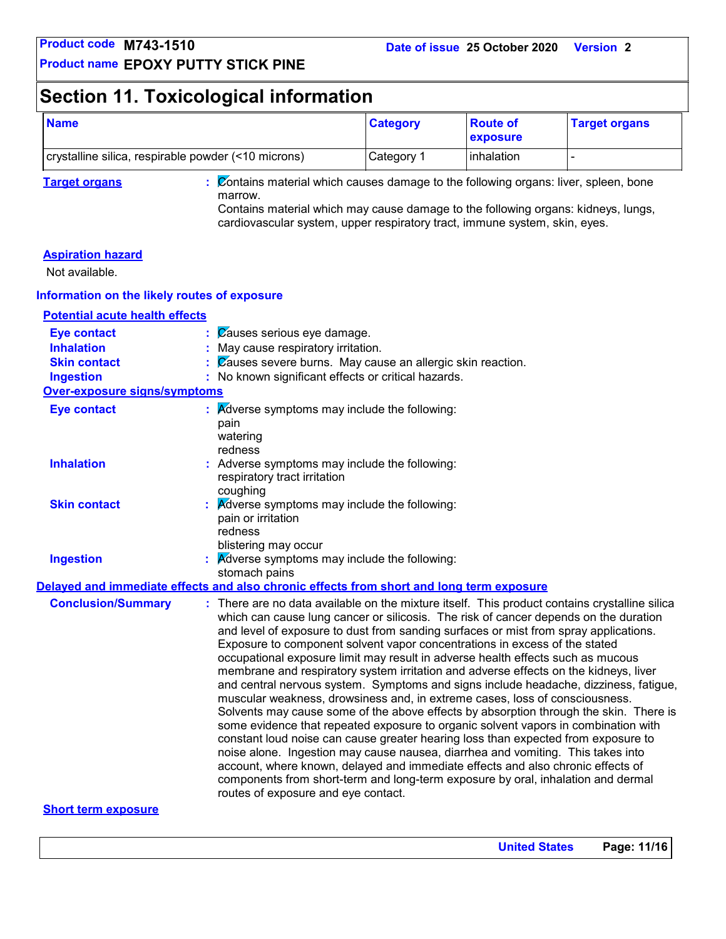# **Section 11. Toxicological information**

| <b>Name</b>                                         | <b>Category</b> | <b>Route of</b><br><b>exposure</b> | <b>Target organs</b> |
|-----------------------------------------------------|-----------------|------------------------------------|----------------------|
| crystalline silica, respirable powder (<10 microns) | Category 1      | <b>linhalation</b>                 |                      |

**Target organs :** Contains material which causes damage to the following organs: liver, spleen, bone marrow.

Contains material which may cause damage to the following organs: kidneys, lungs, cardiovascular system, upper respiratory tract, immune system, skin, eyes.

### **Aspiration hazard**

Not available.

### **Information on the likely routes of exposure**

**Potential acute health effects**

| <b>Eye contact</b>                  | $\mathcal{C}$ auses serious eye damage.                                                                                                                                                                                                                                                                                                                                                                                                                                                                                                                                                                                                                                                                                                                                                                                                                                                                                                                                                                                                                                                                                                                                                                                                                                            |
|-------------------------------------|------------------------------------------------------------------------------------------------------------------------------------------------------------------------------------------------------------------------------------------------------------------------------------------------------------------------------------------------------------------------------------------------------------------------------------------------------------------------------------------------------------------------------------------------------------------------------------------------------------------------------------------------------------------------------------------------------------------------------------------------------------------------------------------------------------------------------------------------------------------------------------------------------------------------------------------------------------------------------------------------------------------------------------------------------------------------------------------------------------------------------------------------------------------------------------------------------------------------------------------------------------------------------------|
| <b>Inhalation</b>                   | : May cause respiratory irritation.                                                                                                                                                                                                                                                                                                                                                                                                                                                                                                                                                                                                                                                                                                                                                                                                                                                                                                                                                                                                                                                                                                                                                                                                                                                |
| <b>Skin contact</b>                 | $\frac{1}{2}$ $\sqrt{2}$ auses severe burns. May cause an allergic skin reaction.                                                                                                                                                                                                                                                                                                                                                                                                                                                                                                                                                                                                                                                                                                                                                                                                                                                                                                                                                                                                                                                                                                                                                                                                  |
| <b>Ingestion</b>                    | : No known significant effects or critical hazards.                                                                                                                                                                                                                                                                                                                                                                                                                                                                                                                                                                                                                                                                                                                                                                                                                                                                                                                                                                                                                                                                                                                                                                                                                                |
| <b>Over-exposure signs/symptoms</b> |                                                                                                                                                                                                                                                                                                                                                                                                                                                                                                                                                                                                                                                                                                                                                                                                                                                                                                                                                                                                                                                                                                                                                                                                                                                                                    |
| <b>Eye contact</b>                  | $\therefore$ Adverse symptoms may include the following:<br>pain<br>watering<br>redness                                                                                                                                                                                                                                                                                                                                                                                                                                                                                                                                                                                                                                                                                                                                                                                                                                                                                                                                                                                                                                                                                                                                                                                            |
| <b>Inhalation</b>                   | : Adverse symptoms may include the following:<br>respiratory tract irritation<br>coughing                                                                                                                                                                                                                                                                                                                                                                                                                                                                                                                                                                                                                                                                                                                                                                                                                                                                                                                                                                                                                                                                                                                                                                                          |
| <b>Skin contact</b>                 | $\mathbf{R}$ <i>Adverse symptoms may include the following:</i><br>pain or irritation<br>redness<br>blistering may occur                                                                                                                                                                                                                                                                                                                                                                                                                                                                                                                                                                                                                                                                                                                                                                                                                                                                                                                                                                                                                                                                                                                                                           |
| <b>Ingestion</b>                    | $\overline{\mathsf{K}}$ dverse symptoms may include the following:<br>stomach pains                                                                                                                                                                                                                                                                                                                                                                                                                                                                                                                                                                                                                                                                                                                                                                                                                                                                                                                                                                                                                                                                                                                                                                                                |
|                                     | Delayed and immediate effects and also chronic effects from short and long term exposure                                                                                                                                                                                                                                                                                                                                                                                                                                                                                                                                                                                                                                                                                                                                                                                                                                                                                                                                                                                                                                                                                                                                                                                           |
| <b>Conclusion/Summary</b>           | : There are no data available on the mixture itself. This product contains crystalline silica<br>which can cause lung cancer or silicosis. The risk of cancer depends on the duration<br>and level of exposure to dust from sanding surfaces or mist from spray applications.<br>Exposure to component solvent vapor concentrations in excess of the stated<br>occupational exposure limit may result in adverse health effects such as mucous<br>membrane and respiratory system irritation and adverse effects on the kidneys, liver<br>and central nervous system. Symptoms and signs include headache, dizziness, fatigue,<br>muscular weakness, drowsiness and, in extreme cases, loss of consciousness.<br>Solvents may cause some of the above effects by absorption through the skin. There is<br>some evidence that repeated exposure to organic solvent vapors in combination with<br>constant loud noise can cause greater hearing loss than expected from exposure to<br>noise alone. Ingestion may cause nausea, diarrhea and vomiting. This takes into<br>account, where known, delayed and immediate effects and also chronic effects of<br>components from short-term and long-term exposure by oral, inhalation and dermal<br>routes of exposure and eye contact. |

### **Short term exposure**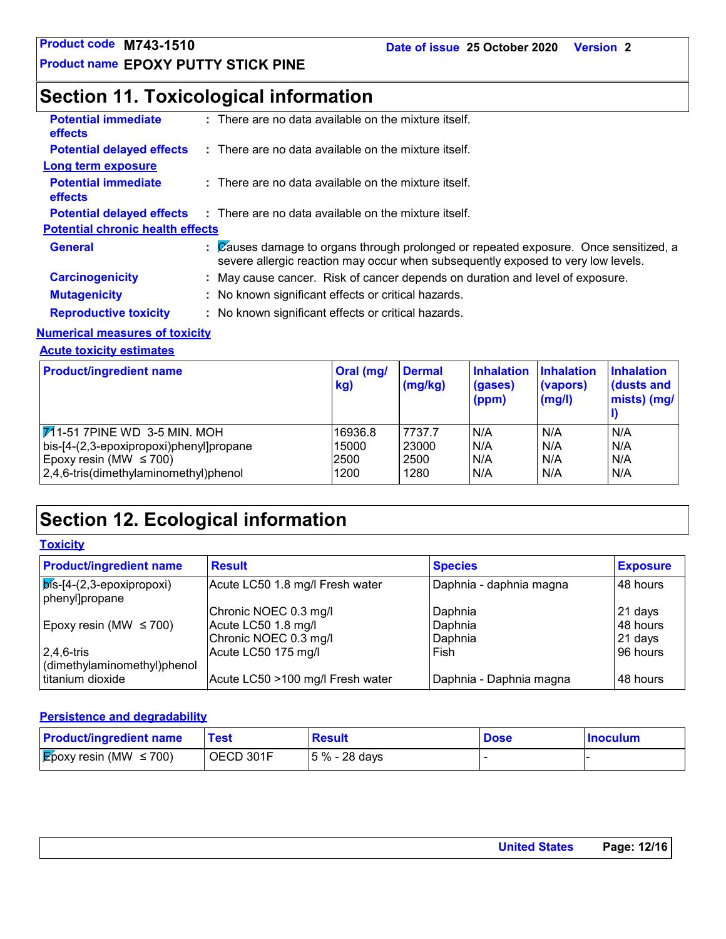# **Section 11. Toxicological information**

| <b>Potential immediate</b><br><b>effects</b> | $:$ There are no data available on the mixture itself.                                                                                                                   |
|----------------------------------------------|--------------------------------------------------------------------------------------------------------------------------------------------------------------------------|
| <b>Potential delayed effects</b>             | $\therefore$ There are no data available on the mixture itself.                                                                                                          |
| Long term exposure                           |                                                                                                                                                                          |
| <b>Potential immediate</b><br><b>effects</b> | $:$ There are no data available on the mixture itself.                                                                                                                   |
| <b>Potential delayed effects</b>             | $\therefore$ There are no data available on the mixture itself.                                                                                                          |
| <b>Potential chronic health effects</b>      |                                                                                                                                                                          |
| <b>General</b>                               | : Causes damage to organs through prolonged or repeated exposure. Once sensitized, a<br>severe allergic reaction may occur when subsequently exposed to very low levels. |
| <b>Carcinogenicity</b>                       | : May cause cancer. Risk of cancer depends on duration and level of exposure.                                                                                            |
| <b>Mutagenicity</b>                          | : No known significant effects or critical hazards.                                                                                                                      |
| <b>Reproductive toxicity</b>                 | : No known significant effects or critical hazards.                                                                                                                      |
|                                              |                                                                                                                                                                          |

### **Numerical measures of toxicity**

**Acute toxicity estimates**

| <b>Product/ingredient name</b>               | Oral (mg/<br>kg) | <b>Dermal</b><br>(mg/kg) | <b>Inhalation</b><br>(gases)<br>(ppm) | <b>Inhalation</b><br>(vapors)<br>(mg/l) | <b>Inhalation</b><br>dusts and<br>mists) (mg/ |
|----------------------------------------------|------------------|--------------------------|---------------------------------------|-----------------------------------------|-----------------------------------------------|
| $ \overline{V_1}$ 1-51 7PINE WD 3-5 MIN. MOH | 16936.8          | 7737.7                   | IN/A                                  | N/A                                     | N/A                                           |
| bis-[4-(2,3-epoxipropoxi)phenyl]propane      | 15000            | 23000                    | N/A                                   | N/A                                     | N/A                                           |
| Epoxy resin (MW $\leq$ 700)                  | 2500             | 2500                     | N/A                                   | N/A                                     | N/A                                           |
| 2,4,6-tris(dimethylaminomethyl)phenol        | 1200             | 1280                     | N/A                                   | N/A                                     | N/A                                           |

# **Section 12. Ecological information**

**Toxicity**

| <b>Product/ingredient name</b>                        | <b>Result</b>                    | <b>Species</b>          | <b>Exposure</b> |
|-------------------------------------------------------|----------------------------------|-------------------------|-----------------|
| $ \vec{b}$ is-[4-(2,3-epoxipropoxi)<br>phenyl]propane | Acute LC50 1.8 mg/l Fresh water  | Daphnia - daphnia magna | 48 hours        |
|                                                       | Chronic NOEC 0.3 mg/l            | Daphnia                 | 21 days         |
| Epoxy resin (MW $\leq$ 700)                           | Acute LC50 1.8 mg/l              | Daphnia                 | 48 hours        |
|                                                       | Chronic NOEC 0.3 mg/l            | Daphnia                 | $21$ days       |
| $2,4,6$ -tris                                         | Acute LC50 175 mg/l              | Fish                    | 96 hours        |
| dimethylaminomethyl)phenol                            |                                  |                         |                 |
| titanium dioxide                                      | Acute LC50 >100 mg/l Fresh water | Daphnia - Daphnia magna | 48 hours        |

### **Persistence and degradability**

| <b>Product/ingredient name</b>           | Test      | <b>Result</b>   | <b>Dose</b> | <b>Inoculum</b> |
|------------------------------------------|-----------|-----------------|-------------|-----------------|
| $\mathcal{E}$ poxy resin (MW $\leq$ 700) | OECD 301F | $ 5% - 28$ days |             |                 |

| Page: 12/16<br><b>United States</b> |
|-------------------------------------|
|                                     |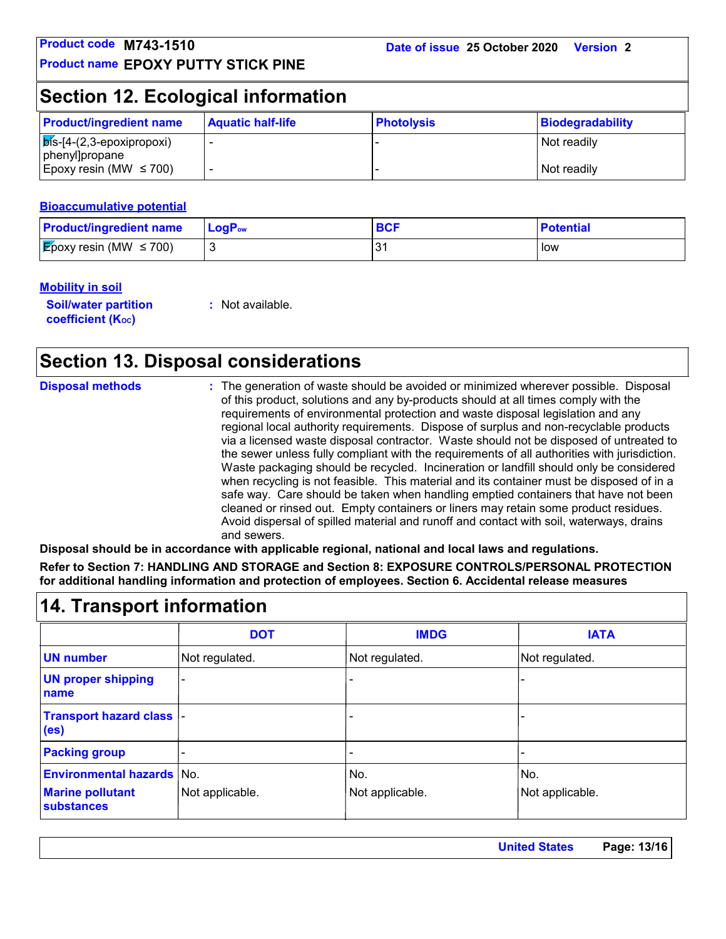# **Section 12. Ecological information**

| <b>Product/ingredient name</b>                        | <b>Aquatic half-life</b> | <b>Photolysis</b> | Biodegradability |
|-------------------------------------------------------|--------------------------|-------------------|------------------|
| $\sqrt{p}$ is-[4-(2,3-epoxipropoxi)<br>phenyl]propane |                          |                   | Not readily      |
| Epoxy resin (MW $\leq$ 700)                           |                          |                   | Not readily      |

### **Bioaccumulative potential**

| <b>Product/ingredient name</b>      | <b>LogP</b> <sub>ow</sub> | <b>BCI</b> | <b>Potential</b> |
|-------------------------------------|---------------------------|------------|------------------|
| <b>E</b> poxy resin (MW $\leq$ 700) |                           |            | low              |

### **Mobility in soil**

**Soil/water partition coefficient (Koc)** 

**:** Not available.

# **Section 13. Disposal considerations**

| <b>Disposal methods</b>          | and sewers.<br>Disposal should be in accordance with applicable regional, national and local laws and regulations.<br>for additional handling information and protection of employees. Section 6. Accidental release measures | of this product, solutions and any by-products should at all times comply with the<br>requirements of environmental protection and waste disposal legislation and any | : The generation of waste should be avoided or minimized wherever possible. Disposal<br>regional local authority requirements. Dispose of surplus and non-recyclable products<br>via a licensed waste disposal contractor. Waste should not be disposed of untreated to<br>the sewer unless fully compliant with the requirements of all authorities with jurisdiction.<br>Waste packaging should be recycled. Incineration or landfill should only be considered<br>when recycling is not feasible. This material and its container must be disposed of in a<br>safe way. Care should be taken when handling emptied containers that have not been<br>cleaned or rinsed out. Empty containers or liners may retain some product residues.<br>Avoid dispersal of spilled material and runoff and contact with soil, waterways, drains<br>Refer to Section 7: HANDLING AND STORAGE and Section 8: EXPOSURE CONTROLS/PERSONAL PROTECTION |
|----------------------------------|-------------------------------------------------------------------------------------------------------------------------------------------------------------------------------------------------------------------------------|-----------------------------------------------------------------------------------------------------------------------------------------------------------------------|----------------------------------------------------------------------------------------------------------------------------------------------------------------------------------------------------------------------------------------------------------------------------------------------------------------------------------------------------------------------------------------------------------------------------------------------------------------------------------------------------------------------------------------------------------------------------------------------------------------------------------------------------------------------------------------------------------------------------------------------------------------------------------------------------------------------------------------------------------------------------------------------------------------------------------------|
| <b>14. Transport information</b> |                                                                                                                                                                                                                               |                                                                                                                                                                       |                                                                                                                                                                                                                                                                                                                                                                                                                                                                                                                                                                                                                                                                                                                                                                                                                                                                                                                                        |
|                                  | <b>DOT</b>                                                                                                                                                                                                                    | <b>IMDG</b>                                                                                                                                                           | <b>IATA</b>                                                                                                                                                                                                                                                                                                                                                                                                                                                                                                                                                                                                                                                                                                                                                                                                                                                                                                                            |

|                                                    | <b>DOT</b>      | <b>IMDG</b>     | <b>IATA</b>     |
|----------------------------------------------------|-----------------|-----------------|-----------------|
| <b>UN number</b>                                   | Not regulated.  | Not regulated.  | Not regulated.  |
| <b>UN proper shipping</b><br>name                  |                 |                 |                 |
| <b>Transport hazard class</b><br>(e <sub>s</sub> ) |                 |                 |                 |
| <b>Packing group</b>                               |                 |                 |                 |
| <b>Environmental hazards No.</b>                   |                 | No.             | No.             |
| <b>Marine pollutant</b><br>substances              | Not applicable. | Not applicable. | Not applicable. |

| <b>United States</b> | Page: 13/16 |
|----------------------|-------------|
|                      |             |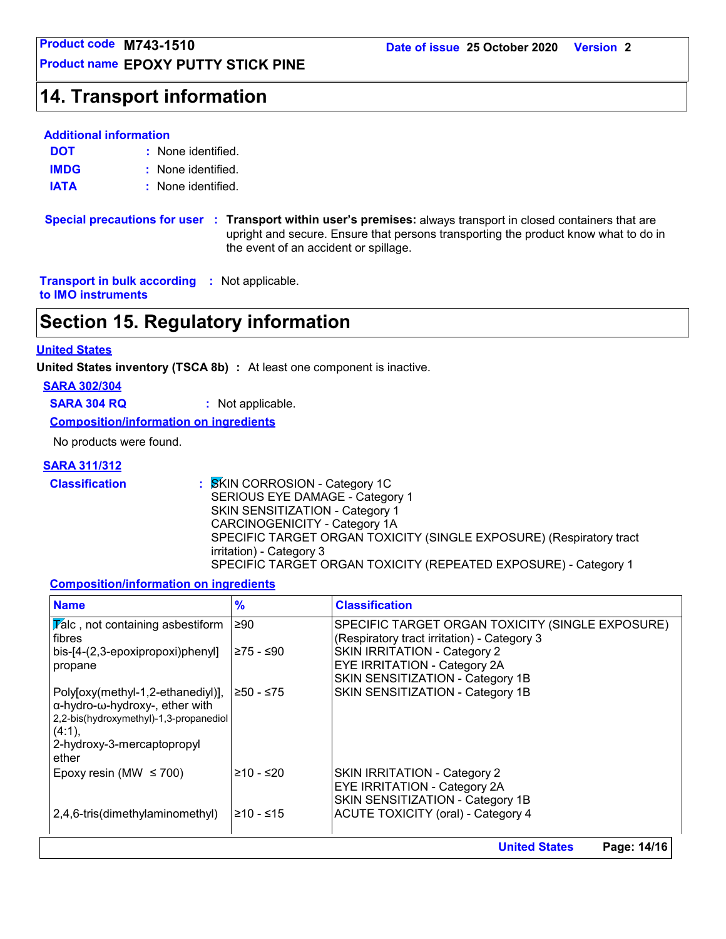**Product name EPOXY PUTTY STICK PINE**

# **Product code M743-1510<br>
Product name EPOXY PUTTY STICK PINE<br>
14. Transport information<br>
14. Transport information**

### **Additional information**

None identified. **:** None identified. **: DOT IMDG IATA :** None identified.

**Special precautions for user Transport within user's premises:** always transport in closed containers that are **:** upright and secure. Ensure that persons transporting the product know what to do in the event of an accident or spillage.

**Transport in bulk according :** Not applicable. **to IMO instruments**

# **Section 15. Regulatory information**

### **United States**

**United States inventory (TSCA 8b) :** At least one component is inactive.

**SARA 302/304**

**SARA 304 RQ :** Not applicable.

**Composition/information on ingredients**

No products were found.

### **SARA 311/312**

**Classification :** SKIN CORROSION - Category 1C SERIOUS EYE DAMAGE - Category 1 SKIN SENSITIZATION - Category 1 CARCINOGENICITY - Category 1A SPECIFIC TARGET ORGAN TOXICITY (SINGLE EXPOSURE) (Respiratory tract irritation) - Category 3 SPECIFIC TARGET ORGAN TOXICITY (REPEATED EXPOSURE) - Category 1

### **Composition/information on ingredients**

| <b>Name</b>                                                                                                                                                    | $\frac{9}{6}$ | <b>Classification</b>                                                                                   |  |
|----------------------------------------------------------------------------------------------------------------------------------------------------------------|---------------|---------------------------------------------------------------------------------------------------------|--|
| $ \overline{Y}$ alc, not containing asbestiform<br>fibres                                                                                                      | ≥90           | SPECIFIC TARGET ORGAN TOXICITY (SINGLE EXPOSURE)<br>(Respiratory tract irritation) - Category 3         |  |
| bis-[4-(2,3-epoxipropoxi)phenyl]<br>propane                                                                                                                    | ≥75 - ≤90     | <b>SKIN IRRITATION - Category 2</b><br><b>EYE IRRITATION - Category 2A</b>                              |  |
|                                                                                                                                                                |               | SKIN SENSITIZATION - Category 1B                                                                        |  |
| Poly[oxy(methyl-1,2-ethanediyl)],<br>α-hydro-ω-hydroxy-, ether with<br>2,2-bis(hydroxymethyl)-1,3-propanediol<br>(4:1),<br>2-hydroxy-3-mercaptopropyl<br>ether | ≥50 - ≤75     | SKIN SENSITIZATION - Category 1B                                                                        |  |
| Epoxy resin (MW $\leq$ 700)                                                                                                                                    | ≥10 - ≤20     | SKIN IRRITATION - Category 2<br><b>EYE IRRITATION - Category 2A</b><br>SKIN SENSITIZATION - Category 1B |  |
| 2,4,6-tris(dimethylaminomethyl)                                                                                                                                | $≥10 - ≤15$   | <b>ACUTE TOXICITY (oral) - Category 4</b>                                                               |  |
|                                                                                                                                                                |               | <b>United States</b><br>Page: 14/16                                                                     |  |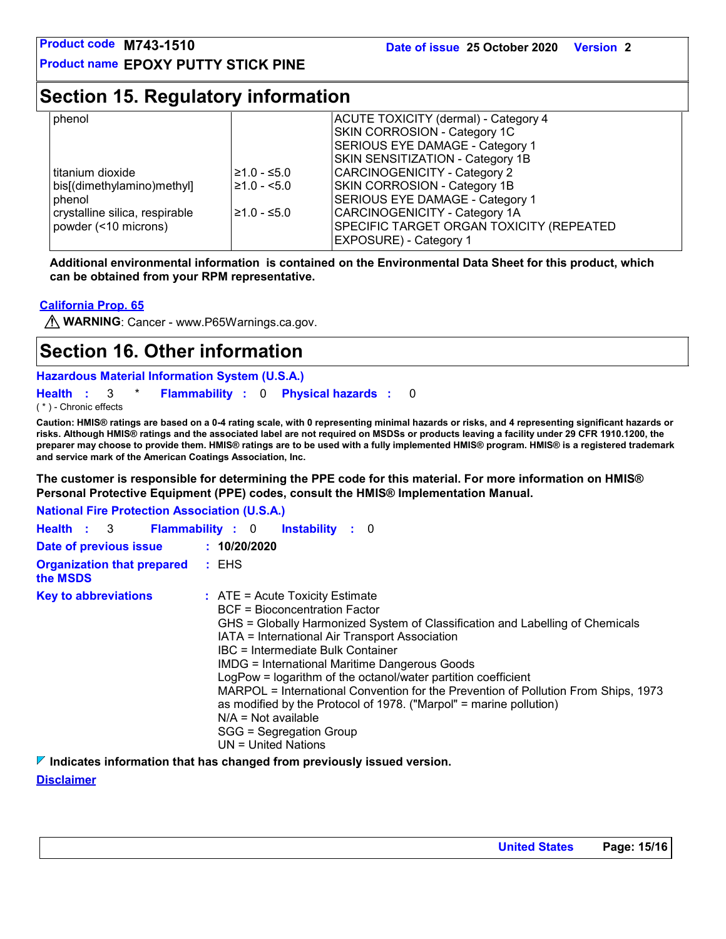# **Section 15. Regulatory information**

| phenol                                                     |                               | ACUTE TOXICITY (dermal) - Category 4<br>SKIN CORROSION - Category 1C<br>SERIOUS EYE DAMAGE - Category 1                                           |
|------------------------------------------------------------|-------------------------------|---------------------------------------------------------------------------------------------------------------------------------------------------|
| l titanium dioxide<br>bis[(dimethylamino)methyl]<br>phenol | $≥1.0 - ≤5.0$<br>$≥1.0 - 5.0$ | <b>SKIN SENSITIZATION - Category 1B</b><br>CARCINOGENICITY - Category 2<br><b>SKIN CORROSION - Category 1B</b><br>SERIOUS EYE DAMAGE - Category 1 |
| crystalline silica, respirable<br>powder (<10 microns)     | $≥1.0 - ≤5.0$                 | CARCINOGENICITY - Category 1A<br><b>SPECIFIC TARGET ORGAN TOXICITY (REPEATED)</b><br><b>EXPOSURE) - Category 1</b>                                |

**Additional environmental information is contained on the Environmental Data Sheet for this product, which can be obtained from your RPM representative.**

### **California Prop. 65**

**WARNING**: Cancer - www.P65Warnings.ca.gov.

# **Section 16. Other information**

**Hazardous Material Information System (U.S.A.)**

**Health** : 3 \* **Flammability** : 0 **Physical hazards** : 0 0

( \* ) - Chronic effects

**Caution: HMIS® ratings are based on a 0-4 rating scale, with 0 representing minimal hazards or risks, and 4 representing significant hazards or risks. Although HMIS® ratings and the associated label are not required on MSDSs or products leaving a facility under 29 CFR 1910.1200, the preparer may choose to provide them. HMIS® ratings are to be used with a fully implemented HMIS® program. HMIS® is a registered trademark and service mark of the American Coatings Association, Inc.**

**The customer is responsible for determining the PPE code for this material. For more information on HMIS® Personal Protective Equipment (PPE) codes, consult the HMIS® Implementation Manual.**

**National Fire Protection Association (U.S.A.)**

|                                               | Health : 3 Flammability : 0 Instability : 0                                                                                                                                                                                                                                                                                                                                                                                                                                                                                                                                                                           |
|-----------------------------------------------|-----------------------------------------------------------------------------------------------------------------------------------------------------------------------------------------------------------------------------------------------------------------------------------------------------------------------------------------------------------------------------------------------------------------------------------------------------------------------------------------------------------------------------------------------------------------------------------------------------------------------|
| Date of previous issue                        | : 10/20/2020                                                                                                                                                                                                                                                                                                                                                                                                                                                                                                                                                                                                          |
| <b>Organization that prepared</b><br>the MSDS | : EHS                                                                                                                                                                                                                                                                                                                                                                                                                                                                                                                                                                                                                 |
| <b>Key to abbreviations</b>                   | $\therefore$ ATE = Acute Toxicity Estimate<br>BCF = Bioconcentration Factor<br>GHS = Globally Harmonized System of Classification and Labelling of Chemicals<br>IATA = International Air Transport Association<br>IBC = Intermediate Bulk Container<br><b>IMDG = International Maritime Dangerous Goods</b><br>LogPow = logarithm of the octanol/water partition coefficient<br>MARPOL = International Convention for the Prevention of Pollution From Ships, 1973<br>as modified by the Protocol of 1978. ("Marpol" = marine pollution)<br>$N/A = Not available$<br>SGG = Segregation Group<br>$UN = United Nations$ |

**Indicates information that has changed from previously issued version.**

### **Disclaimer**